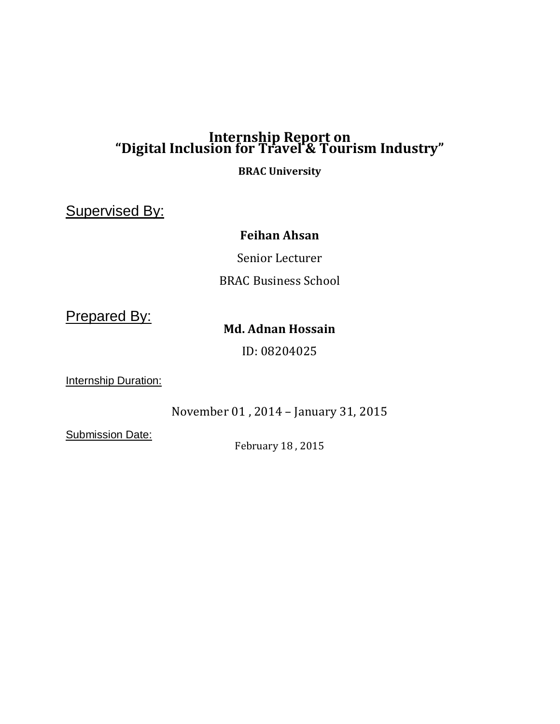## **Internship Report on "Digital Inclusion for Travel & Tourism Industry"**

**BRAC University**

Supervised By:

## **Feihan Ahsan**

Senior Lecturer BRAC Business School

Prepared By:

## **Md. Adnan Hossain**

ID: 08204025

Internship Duration:

November 01 , 2014 – January 31, 2015

**Submission Date:** 

February 18 , 2015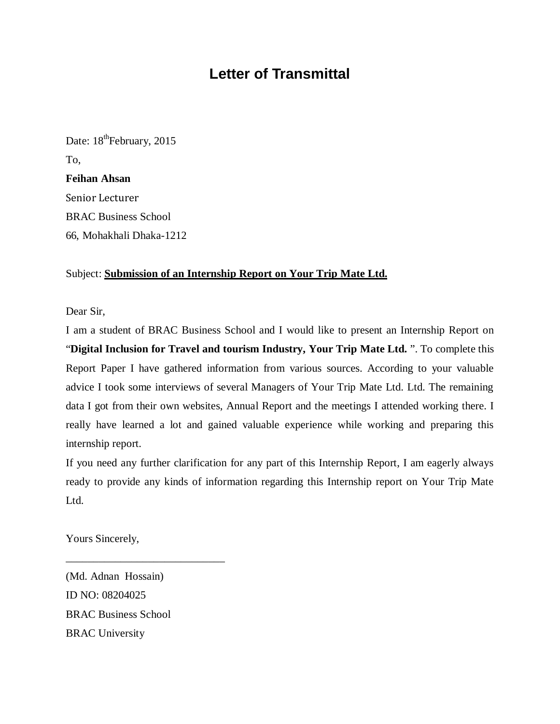## **Letter of Transmittal**

Date: 18<sup>th</sup>February, 2015 To, **Feihan Ahsan** Senior Lecturer BRAC Business School 66, Mohakhali Dhaka-1212

#### Subject: **Submission of an Internship Report on Your Trip Mate Ltd.**

Dear Sir,

I am a student of BRAC Business School and I would like to present an Internship Report on "**Digital Inclusion for Travel and tourism Industry, Your Trip Mate Ltd.** ". To complete this Report Paper I have gathered information from various sources. According to your valuable advice I took some interviews of several Managers of Your Trip Mate Ltd. Ltd. The remaining data I got from their own websites, Annual Report and the meetings I attended working there. I really have learned a lot and gained valuable experience while working and preparing this internship report.

If you need any further clarification for any part of this Internship Report, I am eagerly always ready to provide any kinds of information regarding this Internship report on Your Trip Mate Ltd.

Yours Sincerely,

(Md. Adnan Hossain) ID NO: 08204025 BRAC Business School BRAC University

\_\_\_\_\_\_\_\_\_\_\_\_\_\_\_\_\_\_\_\_\_\_\_\_\_\_\_\_\_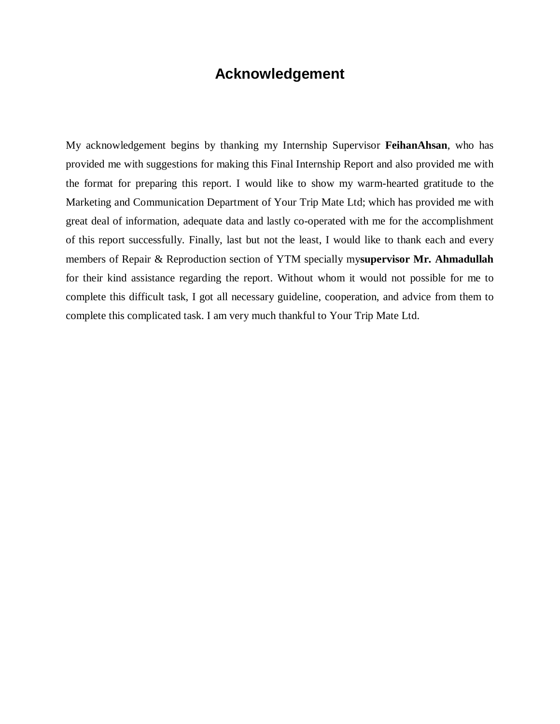## **Acknowledgement**

My acknowledgement begins by thanking my Internship Supervisor **FeihanAhsan**, who has provided me with suggestions for making this Final Internship Report and also provided me with the format for preparing this report. I would like to show my warm-hearted gratitude to the Marketing and Communication Department of Your Trip Mate Ltd; which has provided me with great deal of information, adequate data and lastly co-operated with me for the accomplishment of this report successfully. Finally, last but not the least, I would like to thank each and every members of Repair & Reproduction section of YTM specially my**supervisor Mr. Ahmadullah** for their kind assistance regarding the report. Without whom it would not possible for me to complete this difficult task, I got all necessary guideline, cooperation, and advice from them to complete this complicated task. I am very much thankful to Your Trip Mate Ltd.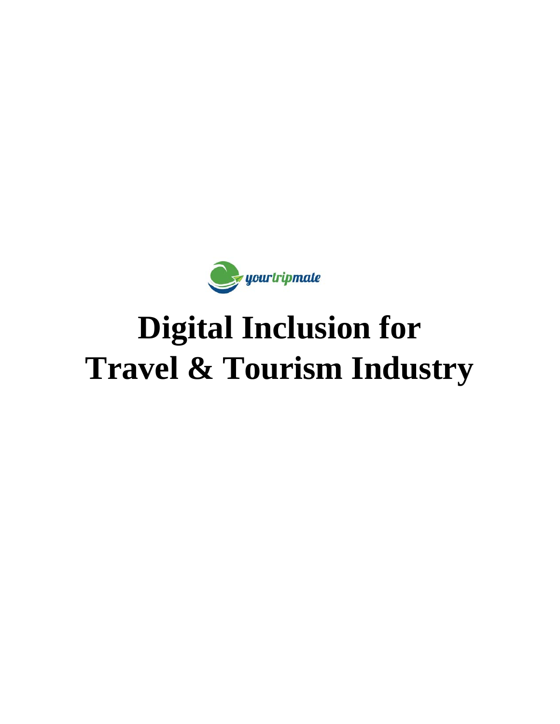

# **Digital Inclusion for Travel & Tourism Industry**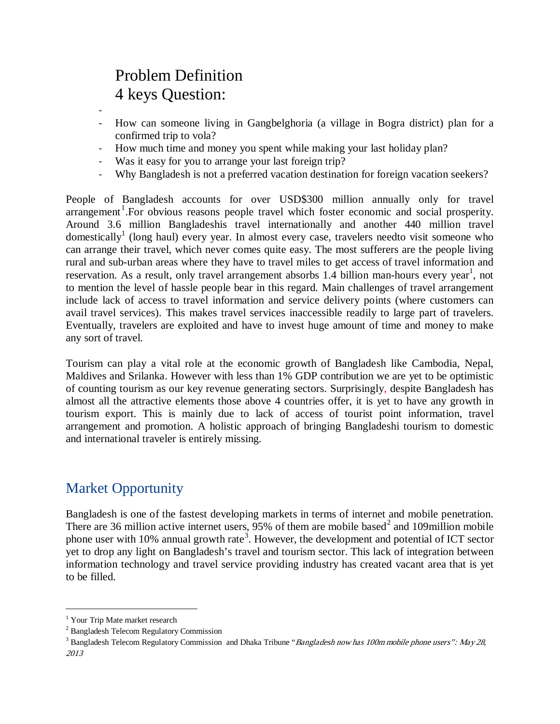## Problem Definition 4 keys Question:

-

- How can someone living in Gangbelghoria (a village in Bogra district) plan for a confirmed trip to vola?
- How much time and money you spent while making your last holiday plan?
- Was it easy for you to arrange your last foreign trip?
- Why Bangladesh is not a preferred vacation destination for foreign vacation seekers?

People of Bangladesh accounts for over USD\$300 million annually only for travel arrangement<sup>[1](#page-4-0)</sup>. For obvious reasons people travel which foster economic and social prosperity. Around 3.6 million Bangladeshis travel internationally and another 440 million travel domestically<sup>1</sup> (long haul) every year. In almost every case, travelers needto visit someone who can arrange their travel, which never comes quite easy. The most sufferers are the people living rural and sub-urban areas where they have to travel miles to get access of travel information and reservation. As a result, only travel arrangement absorbs 1.4 billion man-hours every year<sup>1</sup>, not to mention the level of hassle people bear in this regard. Main challenges of travel arrangement include lack of access to travel information and service delivery points (where customers can avail travel services). This makes travel services inaccessible readily to large part of travelers. Eventually, travelers are exploited and have to invest huge amount of time and money to make any sort of travel.

Tourism can play a vital role at the economic growth of Bangladesh like Cambodia, Nepal, Maldives and Srilanka. However with less than 1% GDP contribution we are yet to be optimistic of counting tourism as our key revenue generating sectors. Surprisingly, despite Bangladesh has almost all the attractive elements those above 4 countries offer, it is yet to have any growth in tourism export. This is mainly due to lack of access of tourist point information, travel arrangement and promotion. A holistic approach of bringing Bangladeshi tourism to domestic and international traveler is entirely missing.

## Market Opportunity

Bangladesh is one of the fastest developing markets in terms of internet and mobile penetration. There are 36 million active internet users,  $95\%$  of them are mobile based<sup>[2](#page-4-1)</sup> and 109million mobile phone user with 10% annual growth rate<sup>[3](#page-4-2)</sup>. However, the development and potential of ICT sector yet to drop any light on Bangladesh's travel and tourism sector. This lack of integration between information technology and travel service providing industry has created vacant area that is yet to be filled.

<span id="page-4-0"></span><sup>&</sup>lt;sup>1</sup> Your Trip Mate market research

<span id="page-4-1"></span><sup>2</sup> Bangladesh Telecom Regulatory Commission

<span id="page-4-2"></span><sup>&</sup>lt;sup>3</sup> Bangladesh Telecom Regulatory Commission and Dhaka Tribune "*Bangladesh now has 100m mobile phone users": May 28*, 2013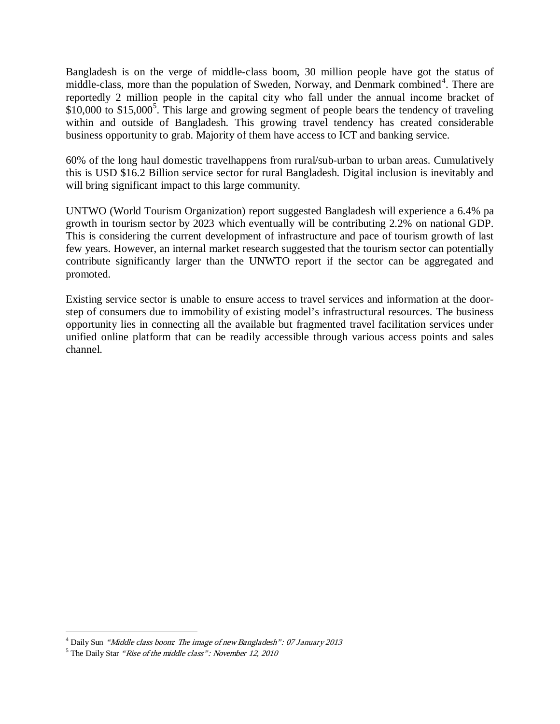Bangladesh is on the verge of middle-class boom, 30 million people have got the status of middle-class, more than the population of Sweden, Norway, and Denmark combined<sup>[4](#page-5-0)</sup>. There are reportedly 2 million people in the capital city who fall under the annual income bracket of  $$10,000$  to  $$15,000^5$  $$15,000^5$  $$15,000^5$ . This large and growing segment of people bears the tendency of traveling within and outside of Bangladesh. This growing travel tendency has created considerable business opportunity to grab. Majority of them have access to ICT and banking service.

60% of the long haul domestic travelhappens from rural/sub-urban to urban areas. Cumulatively this is USD \$16.2 Billion service sector for rural Bangladesh. Digital inclusion is inevitably and will bring significant impact to this large community.

UNTWO (World Tourism Organization) report suggested Bangladesh will experience a 6.4% pa growth in tourism sector by 2023 which eventually will be contributing 2.2% on national GDP. This is considering the current development of infrastructure and pace of tourism growth of last few years. However, an internal market research suggested that the tourism sector can potentially contribute significantly larger than the UNWTO report if the sector can be aggregated and promoted.

Existing service sector is unable to ensure access to travel services and information at the doorstep of consumers due to immobility of existing model's infrastructural resources. The business opportunity lies in connecting all the available but fragmented travel facilitation services under unified online platform that can be readily accessible through various access points and sales channel.

<span id="page-5-0"></span> <sup>4</sup> Daily Sun "Middle class boom: The image of new Bangladesh": 07 January 2013

<span id="page-5-1"></span> $<sup>5</sup>$  The Daily Star "Rise of the middle class": November 12, 2010</sup>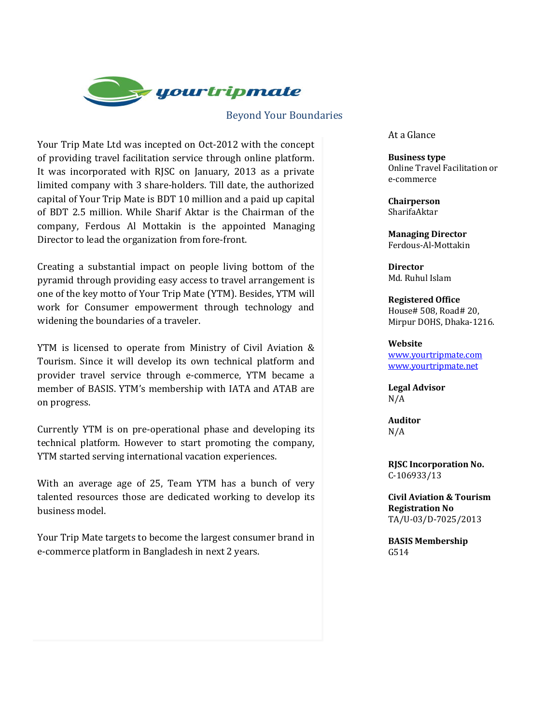

#### Beyond Your Boundaries

Your Trip Mate Ltd was incepted on Oct-2012 with the concept of providing travel facilitation service through online platform. It was incorporated with RJSC on January, 2013 as a private limited company with 3 share-holders. Till date, the authorized capital of Your Trip Mate is BDT 10 million and a paid up capital of BDT 2.5 million. While Sharif Aktar is the Chairman of the company, Ferdous Al Mottakin is the appointed Managing Director to lead the organization from fore-front.

Creating a substantial impact on people living bottom of the pyramid through providing easy access to travel arrangement is one of the key motto of Your Trip Mate (YTM). Besides, YTM will work for Consumer empowerment through technology and widening the boundaries of a traveler.

YTM is licensed to operate from Ministry of Civil Aviation & Tourism. Since it will develop its own technical platform and provider travel service through e-commerce, YTM became a member of BASIS. YTM's membership with IATA and ATAB are on progress.

Currently YTM is on pre-operational phase and developing its technical platform. However to start promoting the company, YTM started serving international vacation experiences.

With an average age of 25, Team YTM has a bunch of very talented resources those are dedicated working to develop its business model.

Your Trip Mate targets to become the largest consumer brand in e-commerce platform in Bangladesh in next 2 years.

At a Glance

**Business type** Online Travel Facilitation or e-commerce

**Chairperson** SharifaAktar

**Managing Director** Ferdous-Al-Mottakin

**Director** Md. Ruhul Islam

**Registered Office** House# 508, Road# 20, Mirpur DOHS, Dhaka-1216.

#### **Website**

[www.yourtripmate.com](http://www.yourtripmate.com/) [www.yourtripmate.net](http://www.yourtripmate.net/)

**Legal Advisor** N/A

**Auditor** N/A

**RJSC Incorporation No.** C-106933/13

**Civil Aviation & Tourism Registration No** TA/U-03/D-7025/2013

**BASIS Membership** G514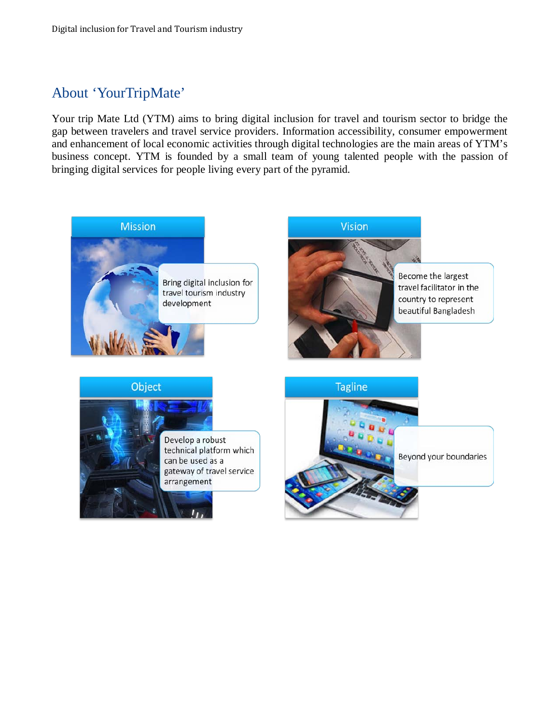## About 'YourTripMate'

Your trip Mate Ltd (YTM) aims to bring digital inclusion for travel and tourism sector to bridge the gap between travelers and travel service providers. Information accessibility, consumer empowerment and enhancement of local economic activities through digital technologies are the main areas of YTM's business concept. YTM is founded by a small team of young talented people with the passion of bringing digital services for people living every part of the pyramid.

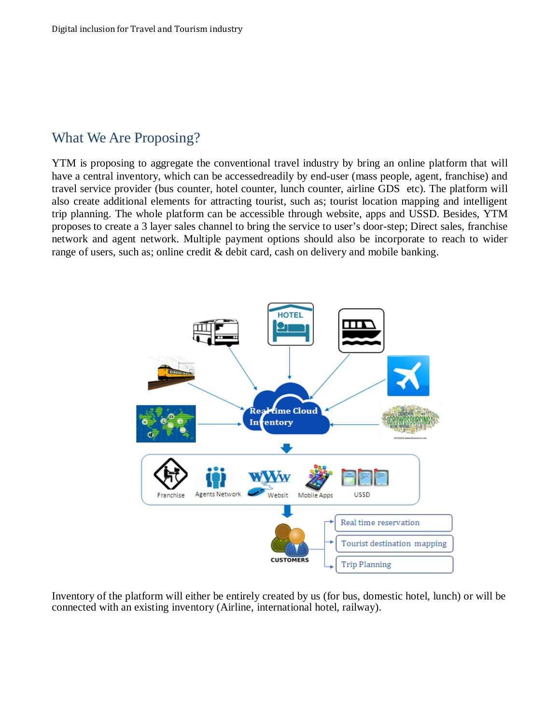## What We Are Proposing?

YTM is proposing to aggregate the conventional travel industry by bring an online platform that will have a central inventory, which can be accessedreadily by end-user (mass people, agent, franchise) and travel service provider (bus counter, hotel counter, lunch counter, airline GDS etc). The platform will also create additional elements for attracting tourist, such as; tourist location mapping and intelligent trip planning. The whole platform can be accessible through website, apps and USSD. Besides, YTM proposes to create a 3 layer sales channel to bring the service to user's door-step; Direct sales, franchise network and agent network. Multiple payment options should also be incorporate to reach to wider range of users, such as; online credit & debit card, cash on delivery and mobile banking.



Inventory of the platform will either be entirely created by us (for bus, domestic hotel, lunch) or will be connected with an existing inventory (Airline, international hotel, railway).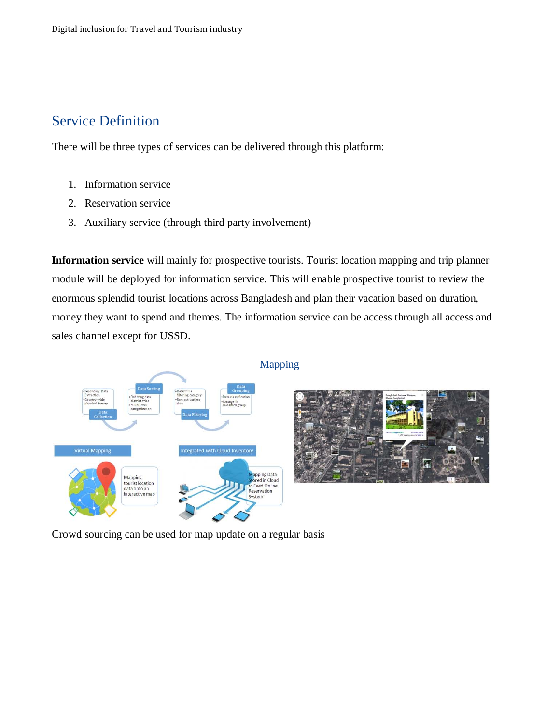## Service Definition

There will be three types of services can be delivered through this platform:

- 1. Information service
- 2. Reservation service
- 3. Auxiliary service (through third party involvement)

**Information service** will mainly for prospective tourists. Tourist location mapping and trip planner module will be deployed for information service. This will enable prospective tourist to review the enormous splendid tourist locations across Bangladesh and plan their vacation based on duration, money they want to spend and themes. The information service can be access through all access and sales channel except for USSD.



Crowd sourcing can be used for map update on a regular basis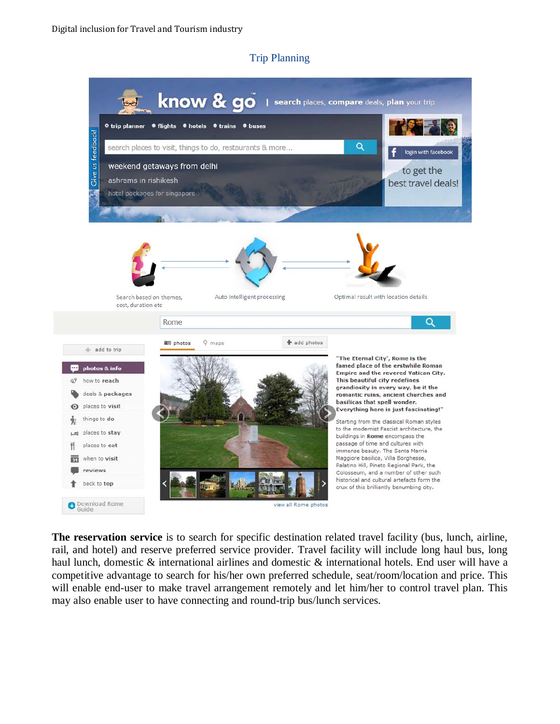#### Trip Planning



**The reservation service** is to search for specific destination related travel facility (bus, lunch, airline, rail, and hotel) and reserve preferred service provider. Travel facility will include long haul bus, long haul lunch, domestic & international airlines and domestic & international hotels. End user will have a competitive advantage to search for his/her own preferred schedule, seat/room/location and price. This will enable end-user to make travel arrangement remotely and let him/her to control travel plan. This may also enable user to have connecting and round-trip bus/lunch services.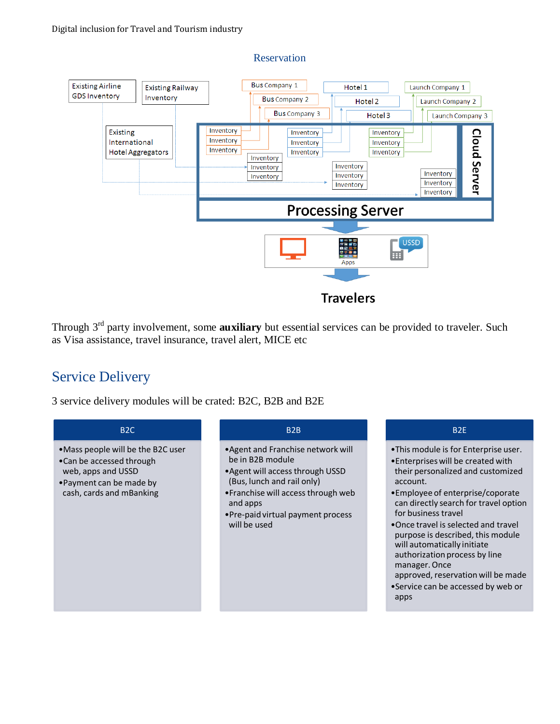

Through 3rd party involvement, some **auxiliary** but essential services can be provided to traveler. Such as Visa assistance, travel insurance, travel alert, MICE etc

## Service Delivery

3 service delivery modules will be crated: B2C, B2B and B2E

#### B2C

- •Mass people will be the B2C user
- •Can be accessed through web, apps and USSD
- •Payment can be made by cash, cards and mBanking

#### B2B

- •Agent and Franchise network will be in B2B module
- •Agent will access through USSD (Bus, lunch and rail only)
- •Franchise will access through web and apps
- •Pre-paid virtual payment process will be used

#### B2E

- •This module is for Enterprise user.
- •Enterprises will be created with their personalized and customized account.
- •Employee of enterprise/coporate can directly search for travel option for business travel
- •Once travel is selected and travel purpose is described, this module will automatically initiate authorization process by line manager. Once
- approved, reservation will be made •Service can be accessed by web or apps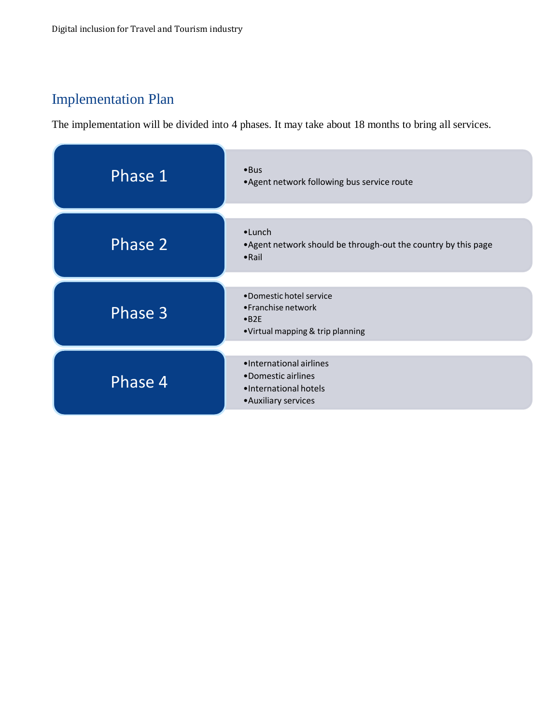## Implementation Plan

The implementation will be divided into 4 phases. It may take about 18 months to bring all services.

| Phase 1            | • Bus<br>.Agent network following bus service route                                                 |
|--------------------|-----------------------------------------------------------------------------------------------------|
| Phase <sub>2</sub> | $\bullet$ Lunch<br>. Agent network should be through-out the country by this page<br>$\bullet$ Rail |
| Phase 3            | •Domestic hotel service<br>•Franchise network<br>$-B2E$<br>•Virtual mapping & trip planning         |
| Phase 4            | •International airlines<br>•Domestic airlines<br>·International hotels<br>• Auxiliary services      |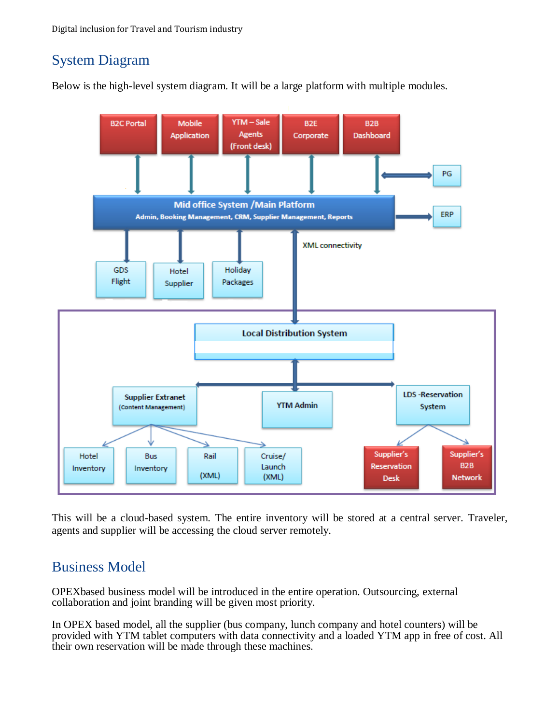## System Diagram

Below is the high-level system diagram. It will be a large platform with multiple modules.



This will be a cloud-based system. The entire inventory will be stored at a central server. Traveler, agents and supplier will be accessing the cloud server remotely.

## Business Model

OPEXbased business model will be introduced in the entire operation. Outsourcing, external collaboration and joint branding will be given most priority.

In OPEX based model, all the supplier (bus company, lunch company and hotel counters) will be provided with YTM tablet computers with data connectivity and a loaded YTM app in free of cost. All their own reservation will be made through these machines.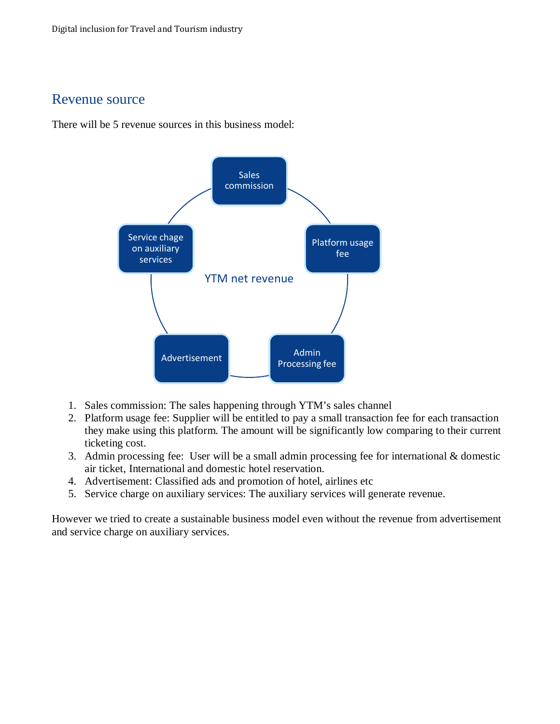## Revenue source

There will be 5 revenue sources in this business model:



- 1. Sales commission: The sales happening through YTM's sales channel
- 2. Platform usage fee: Supplier will be entitled to pay a small transaction fee for each transaction they make using this platform. The amount will be significantly low comparing to their current ticketing cost.
- 3. Admin processing fee: User will be a small admin processing fee for international & domestic air ticket, International and domestic hotel reservation.
- 4. Advertisement: Classified ads and promotion of hotel, airlines etc
- 5. Service charge on auxiliary services: The auxiliary services will generate revenue.

However we tried to create a sustainable business model even without the revenue from advertisement and service charge on auxiliary services.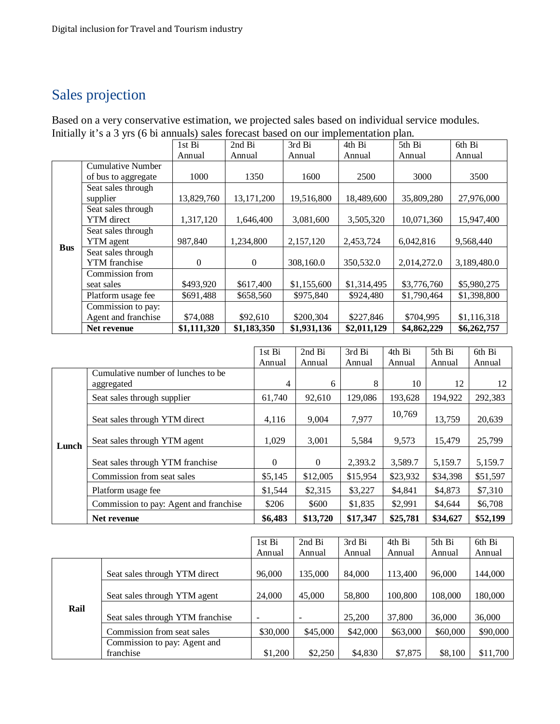## Sales projection

Based on a very conservative estimation, we projected sales based on individual service modules. Initially it's a 3 yrs (6 bi annuals) sales forecast based on our implementation plan.

|            |                                                 | 1st Bi      | 2nd Bi      | 3rd Bi      | 4th Bi      | 5th Bi      | 6th Bi      |
|------------|-------------------------------------------------|-------------|-------------|-------------|-------------|-------------|-------------|
|            |                                                 | Annual      | Annual      | Annual      | Annual      | Annual      | Annual      |
|            | <b>Cumulative Number</b><br>of bus to aggregate | 1000        | 1350        | 1600        | 2500        | 3000        | 3500        |
|            |                                                 |             |             |             |             |             |             |
|            | Seat sales through<br>supplier                  | 13,829,760  | 13,171,200  | 19,516,800  | 18,489,600  |             | 27,976,000  |
|            | Seat sales through                              |             |             |             |             |             |             |
|            | YTM direct                                      | 1,317,120   | 1,646,400   | 3,081,600   | 3,505,320   | 10,071,360  | 15,947,400  |
|            | Seat sales through                              |             |             |             |             |             |             |
| <b>Bus</b> | <b>YTM</b> agent                                | 987,840     | 1,234,800   | 2,157,120   | 2,453,724   | 6,042,816   | 9,568,440   |
|            | Seat sales through                              |             |             |             |             |             |             |
|            | <b>YTM</b> franchise                            | 0           | $\Omega$    | 308,160.0   | 350,532.0   | 2,014,272.0 | 3,189,480.0 |
|            | Commission from                                 |             |             |             |             |             |             |
|            | seat sales                                      | \$493,920   | \$617,400   | \$1,155,600 | \$1,314,495 | \$3,776,760 | \$5,980,275 |
|            | Platform usage fee                              | \$691,488   | \$658,560   | \$975,840   | \$924,480   | \$1,790,464 | \$1,398,800 |
|            | Commission to pay:                              |             |             |             |             |             |             |
|            | Agent and franchise                             | \$74,088    | \$92,610    | \$200,304   | \$227,846   | \$704,995   | \$1,116,318 |
|            | Net revenue                                     | \$1,111,320 | \$1,183,350 | \$1,931,136 | \$2,011,129 | \$4,862,229 | \$6,262,757 |

|       |                                                   | 1st Bi       | 2nd Bi   | 3rd Bi   | 4th Bi   | 5th Bi   | 6th Bi   |
|-------|---------------------------------------------------|--------------|----------|----------|----------|----------|----------|
|       |                                                   | Annual       | Annual   | Annual   | Annual   | Annual   | Annual   |
|       | Cumulative number of lunches to be.<br>aggregated |              | 6        | 8        | 10       | 12       | 12       |
|       | Seat sales through supplier                       | 61,740       | 92,610   | 129,086  | 193,628  | 194,922  | 292,383  |
| Lunch | Seat sales through YTM direct                     | 4.116        | 9.004    | 7,977    | 10,769   | 13,759   | 20,639   |
|       | Seat sales through YTM agent                      | 1.029        | 3,001    | 5,584    | 9,573    | 15.479   | 25,799   |
|       | Seat sales through YTM franchise                  | $\mathbf{0}$ | $\Omega$ | 2,393.2  | 3,589.7  | 5,159.7  | 5,159.7  |
|       | Commission from seat sales                        | \$5,145      | \$12,005 | \$15,954 | \$23,932 | \$34,398 | \$51,597 |
|       | Platform usage fee                                | \$1,544      | \$2,315  | \$3,227  | \$4,841  | \$4,873  | \$7,310  |
|       | Commission to pay: Agent and franchise            | \$206        | \$600    | \$1,835  | \$2,991  | \$4.644  | \$6,708  |
|       | Net revenue                                       | \$6,483      | \$13,720 | \$17,347 | \$25,781 | \$34,627 | \$52,199 |

| 1st Bi |                                           |                          | 2nd Bi   | 3rd Bi   | 4th Bi   | 5th Bi   | 6th Bi   |
|--------|-------------------------------------------|--------------------------|----------|----------|----------|----------|----------|
|        |                                           | Annual                   | Annual   | Annual   | Annual   | Annual   | Annual   |
|        | Seat sales through YTM direct             | 96,000                   | 135,000  | 84,000   | 113.400  | 96,000   | 144,000  |
|        | Seat sales through YTM agent              | 24,000                   | 45,000   | 58,800   | 100.800  | 108,000  | 180,000  |
| Rail   | Seat sales through YTM franchise          | $\overline{\phantom{a}}$ | ٠        | 25,200   | 37,800   | 36,000   | 36,000   |
|        | Commission from seat sales                | \$30,000                 | \$45,000 | \$42,000 | \$63,000 | \$60,000 | \$90,000 |
|        | Commission to pay: Agent and<br>franchise | \$1,200                  | \$2,250  | \$4,830  | \$7,875  | \$8,100  | \$11,700 |
|        |                                           |                          |          |          |          |          |          |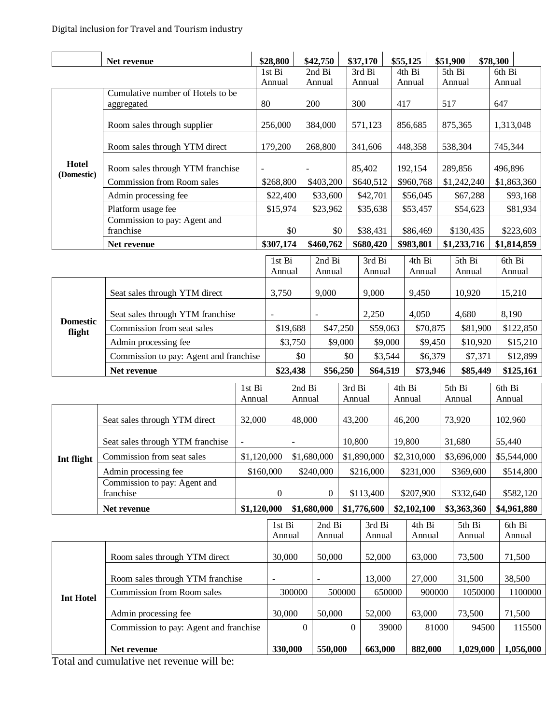|                           | Net revenue                               |                                            | \$28,800         |                  | \$42,750         |             | \$37,170                   |             | \$55,125         | \$51,900         |                  | \$78,300         |                  |
|---------------------------|-------------------------------------------|--------------------------------------------|------------------|------------------|------------------|-------------|----------------------------|-------------|------------------|------------------|------------------|------------------|------------------|
|                           |                                           |                                            | 1st Bi<br>Annual |                  | 2nd Bi<br>Annual |             | 3rd Bi<br>Annual           |             | 4th Bi           | 5th Bi           |                  | 6th Bi           |                  |
|                           | Cumulative number of Hotels to be         |                                            |                  |                  |                  |             |                            |             | Annual           | Annual           |                  | Annual           |                  |
|                           | aggregated                                |                                            | 80               |                  | 200              |             | 300                        | 417         |                  |                  | 517<br>647       |                  |                  |
|                           | Room sales through supplier               |                                            | 256,000          |                  | 384,000          |             | 571,123                    |             | 856,685          |                  | 875,365          |                  | 1,313,048        |
|                           | Room sales through YTM direct             |                                            | 179,200          |                  | 268,800          |             | 341,606                    |             | 448,358          |                  | 538,304          |                  | 745,344          |
| Hotel<br>(Domestic)       |                                           | Room sales through YTM franchise<br>$\sim$ |                  |                  |                  |             | 85,402                     |             | 192,154          |                  | 289,856          |                  | 496,896          |
|                           | Commission from Room sales                |                                            | \$268,800        |                  | \$403,200        |             | \$640,512                  |             | \$960,768        |                  | \$1,242,240      |                  | \$1,863,360      |
|                           | Admin processing fee                      |                                            | \$22,400         |                  | \$33,600         |             | \$42,701                   |             | \$56,045         |                  | \$67,288         |                  | \$93,168         |
|                           | Platform usage fee                        |                                            | \$15,974         |                  | \$23,962         |             | \$35,638                   |             | \$53,457         |                  | \$54,623         |                  | \$81,934         |
|                           | Commission to pay: Agent and<br>franchise |                                            |                  | \$0              | \$0              |             | \$38,431                   |             | \$86,469         |                  | \$130,435        |                  | \$223,603        |
|                           | Net revenue                               |                                            | \$307,174        |                  | \$460,762        |             | \$680,420                  |             | \$983,801        |                  | \$1,233,716      |                  | \$1,814,859      |
|                           |                                           |                                            | 1st Bi           |                  | 2nd Bi           |             | 3rd Bi                     |             | 4th Bi           |                  | 5th Bi           | 6th Bi           |                  |
|                           |                                           |                                            | Annual           |                  | Annual           |             | Annual                     |             | Annual           |                  | Annual           | Annual           |                  |
|                           | Seat sales through YTM direct             |                                            | 3,750            |                  | 9,000            |             | 9,000                      |             | 9,450            |                  | 10,920           | 15,210           |                  |
| <b>Domestic</b><br>flight | Seat sales through YTM franchise          |                                            |                  |                  |                  | 2,250       |                            |             | 4,050            |                  | 4,680            |                  | 8,190            |
|                           | Commission from seat sales                |                                            |                  | \$19,688         | \$47,250         |             | \$59,063                   |             | \$70,875         |                  | \$81,900         |                  | \$122,850        |
|                           | Admin processing fee                      |                                            |                  | \$3,750          | \$9,000          |             | \$9,000                    |             | \$9,450          |                  | \$10,920         |                  | \$15,210         |
|                           | Commission to pay: Agent and franchise    |                                            |                  | \$0              |                  | \$0         | \$3,544                    |             | \$6,379          |                  | \$7,371          |                  | \$12,899         |
|                           | Net revenue                               |                                            |                  | \$23,438         | \$56,250         |             | \$64,519                   | \$73,946    |                  | \$85,449         |                  |                  | \$125,161        |
| 1st Bi<br>Annual          |                                           |                                            |                  | 2nd Bi<br>Annual |                  | 3rd Bi      | 4th Bi<br>Annual<br>Annual |             |                  | 5th Bi<br>Annual |                  | 6th Bi<br>Annual |                  |
|                           | Seat sales through YTM direct<br>32,000   |                                            |                  | 48,000           |                  |             | 43,200                     |             | 46,200           |                  | 73,920           |                  | 102,960          |
|                           | Seat sales through YTM franchise          |                                            |                  |                  | 10,800           |             |                            | 19,800      |                  | 31,680           |                  | 55,440           |                  |
| Int flight                | Commission from seat sales                | \$1,120,000                                |                  |                  | \$1,680,000      | \$1,890,000 |                            | \$2,310,000 |                  | \$3,696,000      |                  |                  | \$5,544,000      |
|                           | Admin processing fee                      | \$160,000                                  |                  |                  | \$240,000        |             | \$216,000                  |             | \$231,000        |                  | \$369,600        |                  | \$514,800        |
|                           | Commission to pay: Agent and<br>franchise |                                            | $\boldsymbol{0}$ |                  | $\boldsymbol{0}$ |             | \$113,400                  |             | \$207,900        |                  | \$332,640        |                  | \$582,120        |
|                           | Net revenue                               | \$1,120,000                                |                  |                  | \$1,680,000      |             | \$1,776,600                |             | \$2,102,100      |                  | \$3,363,360      |                  | \$4,961,880      |
|                           |                                           |                                            | 1st Bi<br>Annual |                  | 2nd Bi<br>Annual |             | 3rd Bi<br>Annual           |             | 4th Bi<br>Annual |                  | 5th Bi<br>Annual |                  | 6th Bi<br>Annual |
|                           | Room sales through YTM direct             |                                            | 30,000           |                  | 50,000           |             | 52,000                     |             | 63,000           |                  | 73,500           |                  | 71,500           |
|                           | Room sales through YTM franchise          | $\overline{\phantom{a}}$                   |                  | $\blacksquare$   |                  | 13,000      | 27,000                     |             | 31,500           |                  |                  | 38,500           |                  |
| <b>Int Hotel</b>          | Commission from Room sales                |                                            |                  | 300000           |                  | 500000      | 650000                     | 900000      |                  | 1050000          |                  |                  | 1100000          |
|                           | Admin processing fee                      |                                            | 30,000           |                  | 50,000           |             | 52,000                     | 63,000      |                  |                  | 73,500           |                  | 71,500           |
|                           | Commission to pay: Agent and franchise    |                                            | $\boldsymbol{0}$ |                  | $\boldsymbol{0}$ | 39000       |                            |             | 81000            | 94500            |                  | 115500           |                  |
|                           | Net revenue<br>211.1                      |                                            |                  |                  |                  | 550,000     | 663,000                    |             | 882,000          |                  | 1,029,000        |                  | 1,056,000        |

Total and cumulative net revenue will be: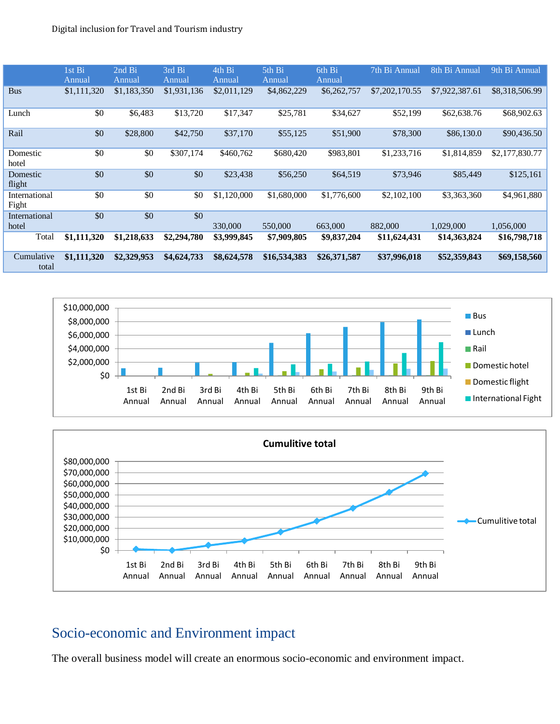|                        | 1st Bi<br>Annual | 2nd Bi<br>Annual | 3rd Bi<br>Annual | 4th Bi<br>Annual | 5th Bi<br>Annual | 6th Bi<br>Annual | 7th Bi Annual  | 8th Bi Annual  | 9th Bi Annual  |
|------------------------|------------------|------------------|------------------|------------------|------------------|------------------|----------------|----------------|----------------|
| <b>Bus</b>             | \$1,111,320      | \$1,183,350      | \$1,931,136      | \$2,011,129      | \$4,862,229      | \$6,262,757      | \$7,202,170.55 | \$7,922,387.61 | \$8,318,506.99 |
| Lunch                  | \$0              | \$6,483          | \$13,720         | \$17,347         | \$25,781         | \$34,627         | \$52,199       | \$62,638.76    | \$68,902.63    |
| Rail                   | \$0              | \$28,800         | \$42,750         | \$37,170         | \$55,125         | \$51,900         | \$78,300       | \$86,130.0     | \$90,436.50    |
| Domestic<br>hotel      | \$0              | \$0              | \$307,174        | \$460,762        | \$680,420        | \$983,801        | \$1,233,716    | \$1,814,859    | \$2,177,830.77 |
| Domestic<br>flight     | \$0              | \$0              | \$0              | \$23,438         | \$56,250         | \$64,519         | \$73,946       | \$85,449       | \$125,161      |
| International<br>Fight | \$0              | \$0              | \$0              | \$1,120,000      | \$1,680,000      | \$1,776,600      | \$2,102,100    | \$3,363,360    | \$4,961,880    |
| International<br>hotel | \$0              | \$0              | \$0              | 330,000          | 550,000          | 663,000          | 882,000        | 1,029,000      | 1,056,000      |
| Total                  | \$1,111,320      | \$1,218,633      | \$2,294,780      | \$3,999,845      | \$7,909,805      | \$9,837,204      | \$11,624,431   | \$14,363,824   | \$16,798,718   |
| Cumulative<br>total    | \$1,111,320      | \$2,329,953      | \$4,624,733      | \$8,624,578      | \$16,534,383     | \$26,371,587     | \$37,996,018   | \$52,359,843   | \$69,158,560   |





## Socio-economic and Environment impact

The overall business model will create an enormous socio-economic and environment impact.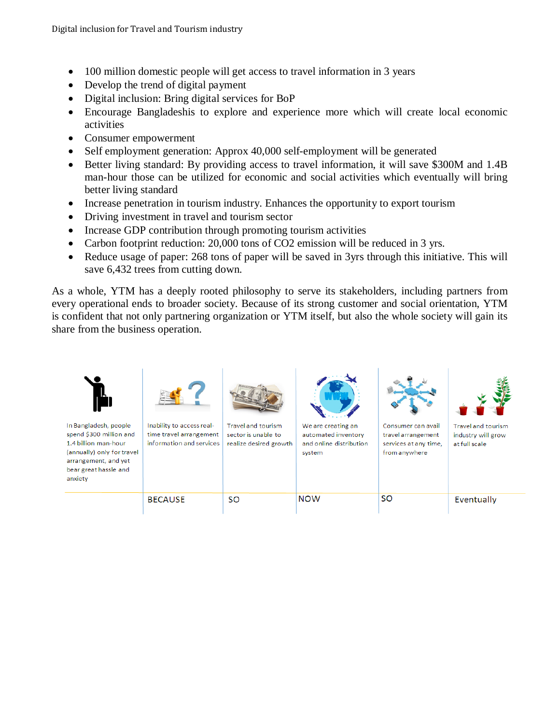- 100 million domestic people will get access to travel information in 3 years
- Develop the trend of digital payment
- Digital inclusion: Bring digital services for BoP
- Encourage Bangladeshis to explore and experience more which will create local economic activities
- Consumer empowerment
- Self employment generation: Approx 40,000 self-employment will be generated
- Better living standard: By providing access to travel information, it will save \$300M and 1.4B man-hour those can be utilized for economic and social activities which eventually will bring better living standard
- Increase penetration in tourism industry. Enhances the opportunity to export tourism
- Driving investment in travel and tourism sector
- Increase GDP contribution through promoting tourism activities
- Carbon footprint reduction: 20,000 tons of CO2 emission will be reduced in 3 yrs.
- Reduce usage of paper: 268 tons of paper will be saved in 3yrs through this initiative. This will save 6,432 trees from cutting down.

As a whole, YTM has a deeply rooted philosophy to serve its stakeholders, including partners from every operational ends to broader society. Because of its strong customer and social orientation, YTM is confident that not only partnering organization or YTM itself, but also the whole society will gain its share from the business operation.